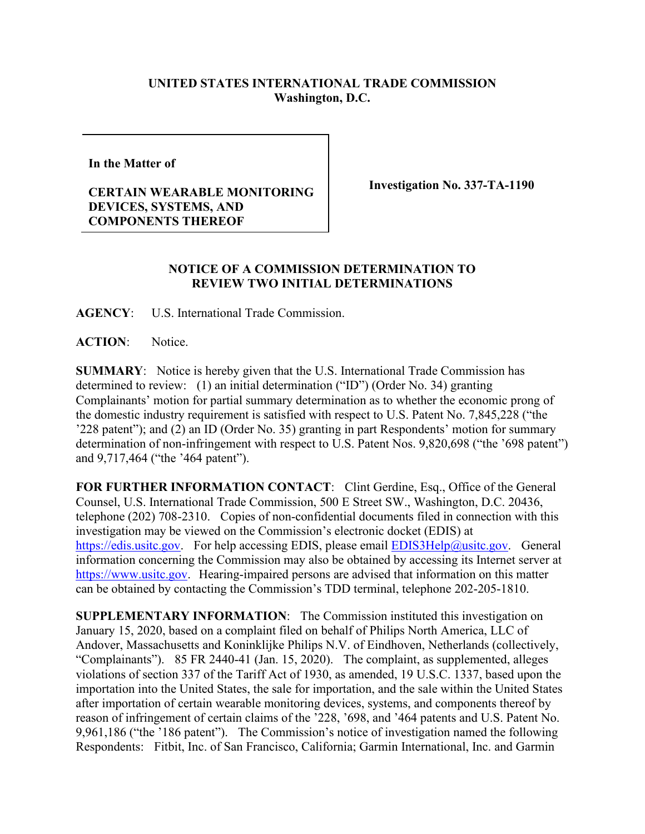## **UNITED STATES INTERNATIONAL TRADE COMMISSION Washington, D.C.**

**In the Matter of** 

## **CERTAIN WEARABLE MONITORING DEVICES, SYSTEMS, AND COMPONENTS THEREOF**

**Investigation No. 337-TA-1190**

## **NOTICE OF A COMMISSION DETERMINATION TO REVIEW TWO INITIAL DETERMINATIONS**

**AGENCY**: U.S. International Trade Commission.

**ACTION**: Notice.

**SUMMARY**: Notice is hereby given that the U.S. International Trade Commission has determined to review: (1) an initial determination ("ID") (Order No. 34) granting Complainants' motion for partial summary determination as to whether the economic prong of the domestic industry requirement is satisfied with respect to U.S. Patent No. 7,845,228 ("the '228 patent"); and (2) an ID (Order No. 35) granting in part Respondents' motion for summary determination of non-infringement with respect to U.S. Patent Nos. 9,820,698 ("the '698 patent") and 9,717,464 ("the '464 patent").

FOR FURTHER INFORMATION CONTACT: Clint Gerdine, Esq., Office of the General Counsel, U.S. International Trade Commission, 500 E Street SW., Washington, D.C. 20436, telephone (202) 708-2310. Copies of non-confidential documents filed in connection with this investigation may be viewed on the Commission's electronic docket (EDIS) at [https://edis.usitc.gov.](https://edis.usitc.gov/) For help accessing EDIS, please email  $EDIS3Help@usite.gov$ . General information concerning the Commission may also be obtained by accessing its Internet server at [https://www.usitc.gov.](https://www.usitc.gov/) Hearing-impaired persons are advised that information on this matter can be obtained by contacting the Commission's TDD terminal, telephone 202-205-1810.

**SUPPLEMENTARY INFORMATION**: The Commission instituted this investigation on January 15, 2020, based on a complaint filed on behalf of Philips North America, LLC of Andover, Massachusetts and Koninklijke Philips N.V. of Eindhoven, Netherlands (collectively, "Complainants"). 85 FR 2440-41 (Jan. 15, 2020). The complaint, as supplemented, alleges violations of section 337 of the Tariff Act of 1930, as amended, 19 U.S.C. 1337, based upon the importation into the United States, the sale for importation, and the sale within the United States after importation of certain wearable monitoring devices, systems, and components thereof by reason of infringement of certain claims of the '228, '698, and '464 patents and U.S. Patent No. 9,961,186 ("the '186 patent"). The Commission's notice of investigation named the following Respondents: Fitbit, Inc. of San Francisco, California; Garmin International, Inc. and Garmin